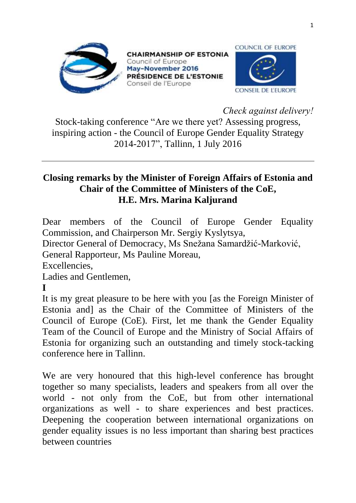

**CHAIRMANSHIP OF ESTONIA** Council of Europe May-November 2016 PRÉSIDENCE DE L'ESTONIE Conseil de l'Europe



*Check against delivery!*

Stock-taking conference "Are we there yet? Assessing progress, inspiring action - the Council of Europe Gender Equality Strategy 2014-2017", Tallinn, 1 July 2016

## **Closing remarks by the Minister of Foreign Affairs of Estonia and Chair of the Committee of Ministers of the CoE, H.E. Mrs. Marina Kaljurand**

Dear members of the Council of Europe Gender Equality Commission, and Chairperson Mr. Sergiy Kyslytsya,

Director General of Democracy, Ms Snežana Samardžić-Marković,

General Rapporteur, Ms Pauline Moreau,

Excellencies,

Ladies and Gentlemen,

**I** 

It is my great pleasure to be here with you [as the Foreign Minister of Estonia and] as the Chair of the Committee of Ministers of the Council of Europe (CoE). First, let me thank the Gender Equality Team of the Council of Europe and the Ministry of Social Affairs of Estonia for organizing such an outstanding and timely stock-tacking conference here in Tallinn.

We are very honoured that this high-level conference has brought together so many specialists, leaders and speakers from all over the world - not only from the CoE, but from other international organizations as well - to share experiences and best practices. Deepening the cooperation between international organizations on gender equality issues is no less important than sharing best practices between countries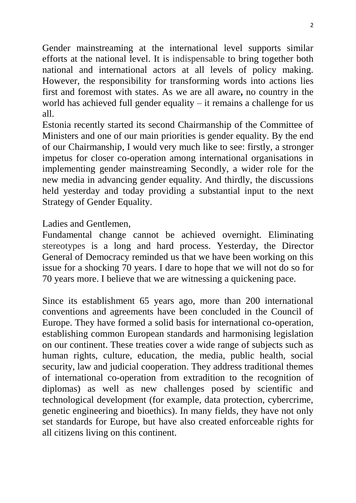Gender mainstreaming at the international level supports similar efforts at the national level. It is indispensable to bring together both national and international actors at all levels of policy making. However, the responsibility for transforming words into actions lies first and foremost with states. As we are all aware**,** no country in the world has achieved full gender equality – it remains a challenge for us all.

Estonia recently started its second [Chairmanship](http://www.coe.int/en/web/chairmanship) of the [Committee of](http://www.coe.int/en/web/cm)  [Ministers](http://www.coe.int/en/web/cm) and one of our main priorities is gender equality. By the end of our Chairmanship, I would very much like to see: firstly, a stronger impetus for closer co-operation among international organisations in implementing gender mainstreaming Secondly, a wider role for the new media in advancing gender equality. And thirdly, the discussions held yesterday and today providing a substantial input to the next Strategy of Gender Equality.

Ladies and Gentlemen,

Fundamental change cannot be achieved overnight. Eliminating stereotypes is a long and hard process. Yesterday, the Director General of Democracy reminded us that we have been working on this issue for a shocking 70 years. I dare to hope that we will not do so for 70 years more. I believe that we are witnessing a quickening pace.

Since its establishment 65 years ago, more than 200 international conventions and agreements have been concluded in the Council of Europe. They have formed a solid basis for international co-operation, establishing common European standards and harmonising legislation on our continent. These treaties cover a wide range of subjects such as human rights, culture, education, the media, public health, social security, law and judicial cooperation. They address traditional themes of international co-operation from extradition to the recognition of diplomas) as well as new challenges posed by scientific and technological development (for example, data protection, cybercrime, genetic engineering and bioethics). In many fields, they have not only set standards for Europe, but have also created enforceable rights for all citizens living on this continent.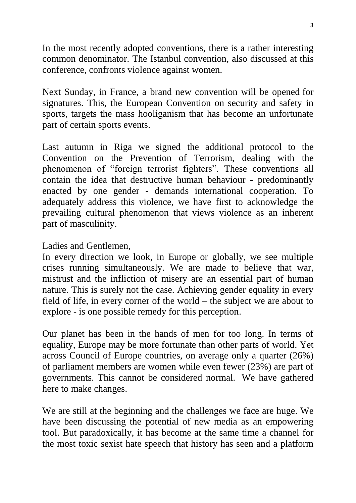In the most recently adopted conventions, there is a rather interesting common denominator. The Istanbul convention, also discussed at this conference, confronts violence against women.

Next Sunday, in France, a brand new convention will be opened for signatures. This, the European Convention on security and safety in sports, targets the mass hooliganism that has become an unfortunate part of certain sports events.

Last autumn in Riga we signed the additional protocol to the Convention on the Prevention of Terrorism, dealing with the phenomenon of "foreign terrorist fighters". These conventions all contain the idea that destructive human behaviour - predominantly enacted by one gender - demands international cooperation. To adequately address this violence, we have first to acknowledge the prevailing cultural phenomenon that views violence as an inherent part of masculinity.

Ladies and Gentlemen,

In every direction we look, in Europe or globally, we see multiple crises running simultaneously. We are made to believe that war, mistrust and the infliction of misery are an essential part of human nature. This is surely not the case. Achieving gender equality in every field of life, in every corner of the world – the subject we are about to explore - is one possible remedy for this perception.

Our planet has been in the hands of men for too long. In terms of equality, Europe may be more fortunate than other parts of world. Yet across Council of Europe countries, on average only a quarter (26%) of parliament members are women while even fewer (23%) are part of governments. This cannot be considered normal. We have gathered here to make changes.

We are still at the beginning and the challenges we face are huge. We have been discussing the potential of new media as an empowering tool. But paradoxically, it has become at the same time a channel for the most toxic sexist hate speech that history has seen and a platform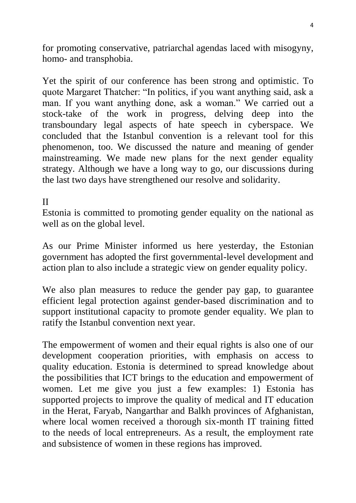for promoting conservative, patriarchal agendas laced with misogyny, homo- and transphobia.

Yet the spirit of our conference has been strong and optimistic. To quote Margaret Thatcher: "In politics, if you want anything said, ask a man. If you want anything done, ask a woman." We carried out a stock-take of the work in progress, delving deep into the transboundary legal aspects of hate speech in cyberspace. We concluded that the Istanbul convention is a relevant tool for this phenomenon, too. We discussed the nature and meaning of gender mainstreaming. We made new plans for the next gender equality strategy. Although we have a long way to go, our discussions during the last two days have strengthened our resolve and solidarity.

## II

Estonia is committed to promoting gender equality on the national as well as on the global level.

As our Prime Minister informed us here yesterday, the Estonian government has adopted the first governmental-level development and action plan to also include a strategic view on gender equality policy.

We also plan measures to reduce the gender pay gap, to guarantee efficient legal protection against gender-based discrimination and to support institutional capacity to promote gender equality. We plan to ratify the Istanbul convention next year.

The empowerment of women and their equal rights is also one of our development cooperation priorities, with emphasis on access to quality education. Estonia is determined to spread knowledge about the possibilities that ICT brings to the education and empowerment of women. Let me give you just a few examples: 1) Estonia has supported projects to improve the quality of medical and IT education in the Herat, Faryab, Nangarthar and Balkh provinces of Afghanistan, where local women received a thorough six-month IT training fitted to the needs of local entrepreneurs. As a result, the employment rate and subsistence of women in these regions has improved.